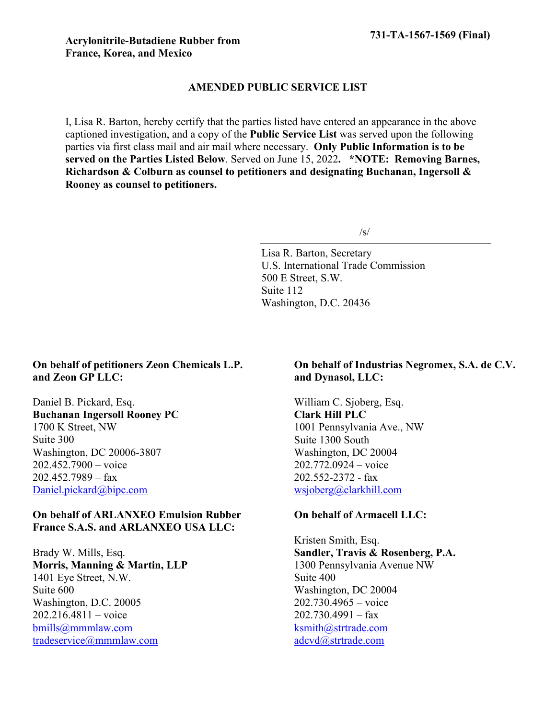# **AMENDED PUBLIC SERVICE LIST**

I, Lisa R. Barton, hereby certify that the parties listed have entered an appearance in the above captioned investigation, and a copy of the **Public Service List** was served upon the following parties via first class mail and air mail where necessary. **Only Public Information is to be served on the Parties Listed Below**. Served on June 15, 2022**. \*NOTE: Removing Barnes, Richardson & Colburn as counsel to petitioners and designating Buchanan, Ingersoll & Rooney as counsel to petitioners.**

 $/s/$ 

Lisa R. Barton, Secretary U.S. International Trade Commission 500 E Street, S.W. Suite 112 Washington, D.C. 20436

# **On behalf of petitioners Zeon Chemicals L.P. and Zeon GP LLC:**

Daniel B. Pickard, Esq. **Buchanan Ingersoll Rooney PC** 1700 K Street, NW Suite 300 Washington, DC 20006-3807 202.452.7900 – voice 202.452.7989 – fax [Daniel.pickard@bipc.com](mailto:Daniel.pickard@bipc.com)

## **On behalf of ARLANXEO Emulsion Rubber France S.A.S. and ARLANXEO USA LLC:**

Brady W. Mills, Esq. **Morris, Manning & Martin, LLP** 1401 Eye Street, N.W. Suite 600 Washington, D.C. 20005 202.216.4811 – voice [bmills@mmmlaw.com](mailto:bmills@mmmlaw.com) [tradeservice@mmmlaw.com](mailto:tradeservice@mmmlaw.com)

## **On behalf of Industrias Negromex, S.A. de C.V. and Dynasol, LLC:**

William C. Sjoberg, Esq. **Clark Hill PLC** 1001 Pennsylvania Ave., NW Suite 1300 South Washington, DC 20004 202.772.0924 – voice 202.552-2372 - fax [wsjoberg@clarkhill.com](mailto:wsjoberg@clarkhill.com)

## **On behalf of Armacell LLC:**

Kristen Smith, Esq. **Sandler, Travis & Rosenberg, P.A.** 1300 Pennsylvania Avenue NW Suite 400 Washington, DC 20004 202.730.4965 – voice  $202.730.4991 - \text{fax}$ [ksmith@strtrade.com](mailto:ksmith@strtrade.com) [adcvd@strtrade.com](mailto:adcvd@strtrade.com)